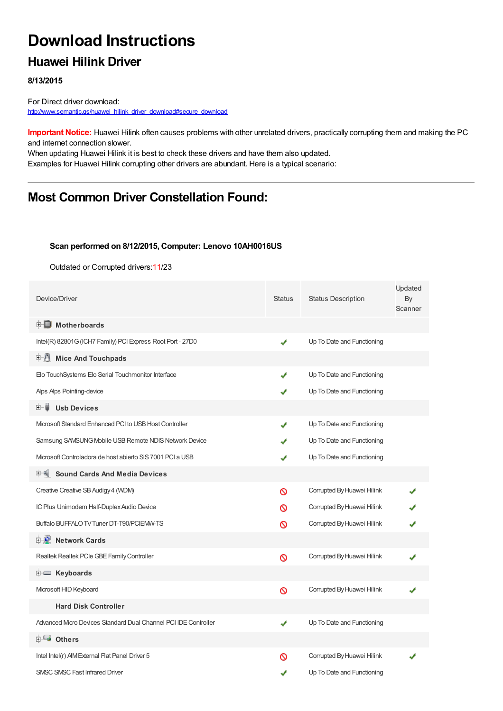# **Download Instructions**

## **Huawei Hilink Driver**

#### **8/13/2015**

For Direct driver download: [http://www.semantic.gs/huawei\\_hilink\\_driver\\_download#secure\\_download](http://www.semantic.gs/huawei_hilink_driver_download#secure_download)

**Important Notice:** Huawei Hilink often causes problems with other unrelated drivers, practically corrupting them and making the PC and internet connection slower.

When updating Huawei Hilink it is best to check these drivers and have them also updated. Examples for Huawei Hilink corrupting other drivers are abundant. Here is a typical scenario:

## **Most Common Driver Constellation Found:**

#### **Scan performed on 8/12/2015, Computer: Lenovo 10AH0016US**

Outdated or Corrupted drivers:11/23

| Device/Driver                                                   | <b>Status</b> | <b>Status Description</b>  | Updated<br>By<br>Scanner |
|-----------------------------------------------------------------|---------------|----------------------------|--------------------------|
| <b>E</b> Motherboards                                           |               |                            |                          |
| Intel(R) 82801G (ICH7 Family) PCI Express Root Port - 27D0      | ✔             | Up To Date and Functioning |                          |
| 中心 Mice And Touchpads                                           |               |                            |                          |
| Elo TouchSystems Elo Serial Touchmonitor Interface              | ✔             | Up To Date and Functioning |                          |
| Alps Alps Pointing-device                                       |               | Up To Date and Functioning |                          |
| <b>Usb Devices</b><br>E- 6                                      |               |                            |                          |
| Microsoft Standard Enhanced PCI to USB Host Controller          | ✔             | Up To Date and Functioning |                          |
| Samsung SAMSUNG Mobile USB Remote NDIS Network Device           |               | Up To Date and Functioning |                          |
| Microsoft Controladora de host abierto SiS 7001 PCI a USB       |               | Up To Date and Functioning |                          |
| <b>Sound Cards And Media Devices</b>                            |               |                            |                          |
| Creative Creative SB Audigy 4 (WDM)                             | ∾             | Corrupted By Huawei Hilink |                          |
| IC Plus Unimodem Half-Duplex Audio Device                       | ∾             | Corrupted By Huawei Hilink |                          |
| Buffalo BUFFALO TV Tuner DT-T90/PCIEMW-TS                       | ∾             | Corrupted By Huawei Hilink |                          |
| <b>E-2</b> Network Cards                                        |               |                            |                          |
| Realtek Realtek PCle GBE Family Controller                      | Ø             | Corrupted By Huawei Hilink |                          |
| E Keyboards                                                     |               |                            |                          |
| Microsoft HID Keyboard                                          | Ø             | Corrupted By Huawei Hilink |                          |
| <b>Hard Disk Controller</b>                                     |               |                            |                          |
| Advanced Micro Devices Standard Dual Channel PCI IDE Controller | ✔             | Up To Date and Functioning |                          |
| 白一■ Others                                                      |               |                            |                          |
| Intel Intel(r) AIM External Flat Panel Driver 5                 | ര             | Corrupted By Huawei Hilink |                          |
| <b>SMSC SMSC Fast Infrared Driver</b>                           | ✔             | Up To Date and Functioning |                          |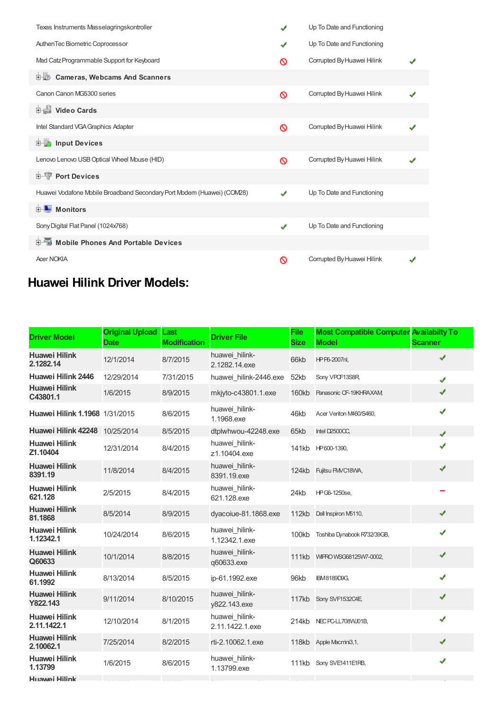| Texas Instruments Masselagringskontroller                              | ✔ | Up To Date and Functioning |  |
|------------------------------------------------------------------------|---|----------------------------|--|
| AuthenTec Biometric Coprocessor                                        | ✔ | Up To Date and Functioning |  |
| Mad Catz Programmable Support for Keyboard                             | ര | Corrupted By Huawei Hilink |  |
| 由心<br><b>Cameras, Webcams And Scanners</b>                             |   |                            |  |
| Canon Canon MG5300 series                                              | ଷ | Corrupted By Huawei Hilink |  |
| 中山 Video Cards                                                         |   |                            |  |
| Intel Standard VGA Graphics Adapter                                    | ര | Corrupted By Huawei Hilink |  |
| <b>Devices</b> Input Devices                                           |   |                            |  |
| Lenovo Lenovo USB Optical Wheel Mouse (HID)                            | ⊚ | Corrupted By Huawei Hilink |  |
| <b>E-T</b> Port Devices                                                |   |                            |  |
| Huawei Vodafone Mobile Broadband Secondary Port Modem (Huawei) (COM28) | J | Up To Date and Functioning |  |
| $\blacksquare$ Monitors<br>中                                           |   |                            |  |
| Sony Digital Flat Panel (1024x768)                                     | ✔ | Up To Date and Functioning |  |
| <b>E</b> Mobile Phones And Portable Devices                            |   |                            |  |
| <b>Acer NOKIA</b>                                                      | ଷ | Corrupted By Huawei Hilink |  |

## **Huawei Hilink Driver Models:**

| <b>Driver Model</b>                 | <b>Original Upload</b><br>Date | Last<br><b>Modification</b> | <b>Driver File</b>                | <b>File</b><br><b>Size</b> | <b>Most Compatible Computer Availabilty To</b><br><b>Model</b> | <b>Scanner</b> |
|-------------------------------------|--------------------------------|-----------------------------|-----------------------------------|----------------------------|----------------------------------------------------------------|----------------|
| <b>Huawei Hilink</b><br>2.1282.14   | 12/1/2014                      | 8/7/2015                    | huawei_hilink-<br>2.1282.14.exe   | 66kb                       | HPP6-2007nl,                                                   | ✔              |
| Huawei Hilink 2446                  | 12/29/2014                     | 7/31/2015                   | huawei hilink-2446.exe            | 52kb                       | Sony VPCF13S8R,                                                | J              |
| <b>Huawei Hilink</b><br>C43801.1    | 1/6/2015                       | 8/9/2015                    | mkjyto-c43801.1.exe               | <b>160kb</b>               | Panasonic CF-19KHRAXAM                                         | ✔              |
| Huawei Hilink 1.1968 1/31/2015      |                                | 8/6/2015                    | huawei hilink-<br>1.1968.exe      | 46kb                       | Acer Veriton M460/S460,                                        | ✔              |
| Huawei Hilink 42248 10/25/2014      |                                | 8/5/2015                    | dtplwhwou-42248.exe               | 65kb                       | Intel D2500CC,                                                 | J              |
| <b>Huawei Hilink</b><br>Z1.10404    | 12/31/2014                     | 8/4/2015                    | huawei hilink-<br>z1.10404.exe    | 141kb                      | HP600-1390,                                                    | J              |
| <b>Huawei Hilink</b><br>8391.19     | 11/8/2014                      | 8/4/2015                    | huawei hilink-<br>8391.19.exe     | 124kb                      | Fujitsu FMVC18WA,                                              | ✔              |
| <b>Huawei Hilink</b><br>621.128     | 2/5/2015                       | 8/4/2015                    | huawei hilink-<br>621.128.exe     | 24kb                       | HPG6-1250se,                                                   |                |
| <b>Huawei Hilink</b><br>81.1868     | 8/5/2014                       | 8/9/2015                    | dyacoiue-81.1868.exe              | 112kb                      | Dell Inspiron M5110,                                           | ✔              |
| <b>Huawei Hilink</b><br>1.12342.1   | 10/24/2014                     | 8/6/2015                    | huawei_hilink-<br>1.12342.1.exe   | 100kb                      | Toshiba Dynabook R732/39GB,                                    | ✔              |
| <b>Huawei Hilink</b><br>Q60633      | 10/1/2014                      | 8/8/2015                    | huawei hilink-<br>q60633.exe      |                            | 111kb WIFRO WSG68125W7-0002,                                   | ✔              |
| <b>Huawei Hilink</b><br>61.1992     | 8/13/2014                      | 8/5/2015                    | ip-61.1992.exe                    | 96kb                       | <b>IBM8189D9G,</b>                                             | ✔              |
| <b>Huawei Hilink</b><br>Y822.143    | 9/11/2014                      | 8/10/2015                   | huawei hilink-<br>y822.143.exe    |                            | 117kb Sony SVF1532C4E                                          | ✔              |
| <b>Huawei Hilink</b><br>2.11.1422.1 | 12/10/2014                     | 8/1/2015                    | huawei_hilink-<br>2.11.1422.1.exe | 214kb                      | NEC PC-LL708VVJ01B,                                            | ✔              |
| <b>Huawei Hilink</b><br>2.10062.1   | 7/25/2014                      | 8/2/2015                    | rti-2.10062.1.exe                 |                            | 118kb Apple Macmini3,1,                                        | ✔              |
| <b>Huawei Hilink</b><br>1.13799     | 1/6/2015                       | 8/6/2015                    | huawei hilink-<br>1.13799.exe     | 111kb                      | Sony SVE1411E1RB,                                              | ✔              |
| Huawei Hilink                       |                                |                             |                                   |                            |                                                                |                |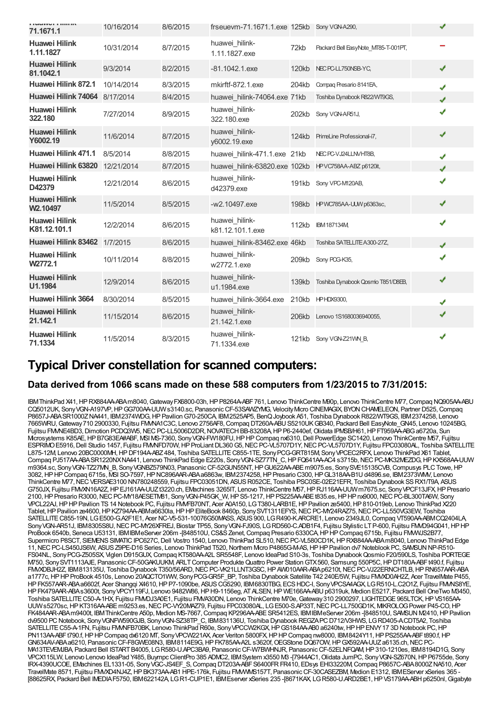| <b>IMMYVELTIOUS</b><br>71,1671.1              | 10/16/2014 | 8/6/2015 | frseuevm-71.1671.1.exe 125kb Sony VGN-A290, |              |                                     | √ |
|-----------------------------------------------|------------|----------|---------------------------------------------|--------------|-------------------------------------|---|
| <b>Huawei Hilink</b><br>1.11.1827             | 10/31/2014 | 8/7/2015 | huawei hilink-<br>1.11.1827.exe             | 72kb         | Packard Bell EasyNote MT85-T-001PT, |   |
| <b>Huawei Hilink</b><br>81.1042.1             | 9/3/2014   | 8/2/2015 | $-81.1042.1$ .exe                           | 120kb        | NEC PC-LL750NSB-YC,                 | ✔ |
| Huawei Hilink 872.1                           | 10/14/2014 | 8/3/2015 | mkirftf-872.1.exe                           | 204kb        | Compag Presario 8141EA,             | J |
| Huawei Hilink 74064                           | 8/17/2014  | 8/4/2015 | huawei hilink-74064.exe 71kb                |              | Toshiba Dynabook R822/WT9GS,        |   |
| <b>Huawei Hilink</b><br>322.180               | 7/27/2014  | 8/9/2015 | huawei hilink-<br>322.180.exe               | 202kb        | Sony VGN-AR51J,                     | J |
| <b>Huawei Hilink</b><br>Y6002.19              | 11/6/2014  | 8/7/2015 | huawei hilink-<br>y6002.19.exe              | 124kb        | PrimeLine Professional-i7,          | ✔ |
| Huawei Hilink 471.1                           | 8/5/2014   | 8/8/2015 | huawei hilink-471.1.exe 21kb                |              | NEC PC-VJ24LLNVHT8B,                | J |
| Huawei Hilink 63820                           | 12/21/2014 | 8/7/2015 | huawei hilink-63820.exe 102kb               |              | HPVC758AA-ABZ p6120it,              | J |
| <b>Huawei Hilink</b><br>D42379                | 12/21/2014 | 8/6/2015 | huawei hilink-<br>d42379.exe                | 191kb        | Sony VPC-M120AB,                    |   |
| <b>Huawei Hilink</b><br>W <sub>2</sub> .10497 | 11/5/2014  | 8/5/2015 | -w2.10497.exe                               | 198kb        | HPWC785AA-UUW p6363sc,              | ✔ |
| <b>Huawei Hilink</b><br>K81.12.101.1          | 12/2/2014  | 8/6/2015 | huawei_hilink-<br>k81.12.101.1.exe          | <b>112kb</b> | <b>IBM187134M</b>                   |   |
| Huawei Hilink 83462                           | 1/7/2015   | 8/6/2015 | huawei hilink-83462.exe 46kb                |              | Toshiba SATELLITE A300-27Z,         |   |
| <b>Huawei Hilink</b><br>W2772.1               | 10/11/2014 | 8/8/2015 | huawei hilink-<br>w2772.1.exe               | 209kb        | Sony POG-K35,                       |   |
| <b>Huawei Hilink</b><br>U1.1984               | 12/9/2014  | 8/6/2015 | huawei hilink-<br>u1.1984.exe               | 139kb        | Toshiba Dynabook Qosmio T851/D8EB,  | ✔ |
| Huawei Hilink 3664                            | 8/30/2014  | 8/5/2015 | huawei hilink-3664.exe                      | 210kb        | <b>HPHDX9300,</b>                   | ✔ |
| <b>Huawei Hilink</b><br>21.142.1              | 11/15/2014 | 8/6/2015 | huawei hilink-<br>21.142.1.exe              | 206kb        | Lenovo 1S1680036940055,             | ✔ |
| <b>Huawei Hilink</b><br>71.1334               | 11/5/2014  | 8/3/2015 | huawei hilink-<br>71.1334.exe               | 121kb        | Sony VGN-Z21VM_B,                   |   |

## **Typical Driver constellation for scanned computers:**

#### **Data derived from 1066 scans made on these 588 computers from 1/23/2015 to 7/31/2015:**

IBMThinkPad X41,HPRX884AA-ABAm8040,GatewayFX6800-03h,HPP8264A-ABF761, Lenovo ThinkCentre M90p, Lenovo ThinkCentre M77,Compaq NQ905AA-ABU CQ5012UK, SonyVGN-A197VP,HPGG700AA-UUWs3140.sc, PanasonicCF-53SAWZYMG, VelocityMicro CINEMAGIX, BYONCHAMELEON, Partner D525,Compaq P8657J-ABASR1000ZNA441, IBM2374WDG,HPPavilionG70-250CA, IBM2525AP5, BenQJoybook A51, Toshiba DynabookR822/WT9GS, IBM2374258, Lenovo 7665WRU,Gateway710 2900330, Fujitsu FMVNA1C3C, Lenovo 2756AF8,Compaq DT260A-ABUS5210UKGB340, Packard Bell EasyNote\_GN45, Lenovo 10245BG, Fujitsu FMME4BD3, Dimotion PCDQ3W5, NEC PC-LL5006D2DR, NOVATECH BB-83208A, HP P6-2440ef, Olidata IPMSB/H61, HP FT959A-ABG a6720a, Sun Mcrosystems K85AE, HPB7G83EA#ABF, MSI MS-7360, Sony VGN-FW180FU, HPHP Compaq nx6310, Dell PowerEdge SC1420, Lenovo ThinkCentre M57, Fujitsu ESPRIMO E5916, Dell Studio 1457, Fujitsu FMMFD70W, HP ProLiant DL360 G5, NEC PC-VL5707D1Y, NEC PC-VL5707D1Y, Fujitsu FPC03080AL, Toshiba SATELLITE L875-12M, Lenovo 20BC0000MH, HP DF194A-ABZ 484, Toshiba SATELLITE C855-1TE, Sony PCG-GRT815M, Sony VPCEC2RFX, Lenovo ThinkPad X61 Tablet, Compaq PJ517AA-ABASR1220NXNA441, Lenovo ThinkPad Edge E220s, Sony VGN-SZ77TN C, HP FQ641AA-AC4 s3715b, NEC PC-MK32MEZDG, HP KX568AA-UUW m9364.sc, Sony VGN-TZ27MN\_B, Sony VGNBZ579N03, Panasonic CF-52GUN55NT, HP GU622AA-ABE m9075.es, Sony SVE15135CVB, Compusys PLC Towe, HP 3082,HPHPCompaq 6715s, MSI SO-7597,HPNC896AAR-ABAa6863w, IBM2374258,HPPresario C300,HPGL318AA-B1Ud4896.se, IBM2373WMV, Lenovo ThinkCentre M77, NEC VERSAE3100 NN780248559, Fujitsu FPC03051DN, ASUS R052CE, Toshiba PSC0SE-02E21EFR, Toshiba Dynabook SS RX1/T9A, ASUS G750JX, Fujitsu FMVXN16A2Z,HPEJ161AA-UUZt3220.ch, EMachines 3265IT, Lenovo ThinkCentre M57,HPRJ116AA-UUWm7675.sc, SonyVPCF13JFX,HPPresario 2100,HPPresario R3000,NECPC-MY18AESETM81, SonyVGN-P45GK\_W,HPS5-1217,HPPS225AA-ABEt835.es,HPHPnx9000,NECPC-BL300TA6W, Sony VPCL22AJ,HPHPPavilion TS14 Notebook PC, Fujitsu FMVFB70NT, Acer A0A150, LGT380-LARB1E,HPPavilion ze5400,HP810-019eb, Lenovo ThinkPad X220 Tablet, HP Pavilion ze4600, HP KZ794AA-ABMa6630la, HP HP EliteBook 8460p, Sony SVT1311EFYS, NEC PC-MY24RAZ75, NEC PC-LL550VG3EW, Toshiba SATELLITEC855-19N, LGE500-G.A2F1E1, Acer NC-V5-531-10076G50MASS, ASUS900, LGR490-K.ARCRE1, Lenovo 2349JL0,Compaq VT590AA-ABMCQ2404LA, Sony VGN-AR51J, IBM8305S8U, NEC PC-MY26XFREJ, Biostar TP55, Sony VGN-FJ90S, LGRD560-C.ADB1F4, Fujitsu Stylistic LT P-600, Fujitsu FMD94G041, HP HP ProBook 6540b, Seneca U53131, IBMIBMeServer 206m -[848510U, CS&S Zenet, Compaq Presario 6330CA, HP HP Compaq 6715b, Fujitsu FMWVJS2B77, Supermicro P8SCT, SIEMENS SIMATIC IPC627C, Dell Vostro 1540, Lenovo ThinkPad SL510, NEC PC-VL580CD1K, HP RX884AA-ABA m8040, Lenovo ThinkPad Edge 11,NECPC-LS450JS6W, ASUSZ9PE-D16 Series, Lenovo ThinkPad T520,Northern Micro P4865G-M-AS,HPHPPavilion dv7 Noteblook PC, SAMSUNNP-R510- FS04NL, SonyPCG-Z505SX, Viglen D915GUX,Compaq KT580AA-A2L SR5548F, Lenovo IdeaPad S10-3s, Toshiba DynabookQosmio F20/590LS, Toshiba PORTEGE M750, Sony SVT1113AJE, Panasonic CF-50GAKUUKM, ARLT Computer Produkte Quattro Power Station GTX 560, Samsung 550P5C, HP DT180A-ABF t490.f, Fujitsu FMVXDBJH2Z, IBM813135U, Toshiba Dynabook T350/56ARD, NEC PC-VK21LLNT3GSC, HP AW010AAR-ABA p6210t, NEC PC-VJ22ERNCHTLB, HP RN657AAR-ABA a1777c,HPHPProBook 4510s, Lenovo 20AQCTO1WW, SonyPCG-GR5F\_BP, Toshiba Dynabook Satellite T42 240E/5W, Fujitsu FMVXD0AH2Z, Acer TravelMate P455, HP FK557AAR-ABA a6602f, Acer Shangqi X4610, HP P7-1090be, ASUS CG5290, IBM6830TBG, ECS HDC-I, Sony VPCSA4AGX, LG R510-L.C2O1Z, Fujitsu FMMS8YE, HP FK479AAR-ABAs3600t, Sony VPCY119FJ, Lenovo 9482W86, HP H9-1156eg, AT ALSEN, HP WE166AA-ABU p6319uk, Medion E5217, Packard Bell OneTwo M3450, Toshiba SATELLITE C50-A-1HX, Fujitsu FMVDJ3A0E1, Fujitsu FMVA30DN, Lenovo ThinkCentre M70e, Gateway 310 2900297, LIGHTEDGE 965LTCK, HP VS165AA-UUWs5270sc,HPKT316AA-ABEm9253.es,NECPC-VY20MAZ79, Fujitsu FPC03080AL, LGE500-S.AP33T,NECPC-LL750GD1K, MIKROLOGPower P45-CO,HP FK484AAR-ABAm9400t, IBMThinkCentre A50p, Medion MS-7667,Compaq KP296AA-ABESR5412ES, IBMIBMeServer 206m -[848510U, SAMSUN M2410,HPPavilion dv9500 PC Notebook, Sony VGNFW590GJB, Sony VGN-SZ38TP\_C, IBM831136U, Toshiba Dynabook REGZAPC D712/V3HWS, LGRD405-ACDT5A2, Toshiba SATELLITE C55-A-1FN, Fujitsu FMMFB70BK, Lenovo ThinkPad R60e, Sony VPCCW2KGX, HP GS184AA-AB0 a6240tw, HP HP ENVY 17 3D Notebook PC, HP PN113AA-ABFt790.f, HPHPCompaq dx6120 MT, Sony VPCW221AX, Acer Veriton 5800FX, HPHPCompaq nw8000, IBM8424Y11, HPPS255AA-ABFt890.f, HP GN634AV-ABAa6210, Panasonic CF-F8GWE08N3, IBM8114E9G, HP FK785AA-A2L s3620f, OEGStone DQ67OW, HP GX592AA-UUZ a6135.ch, NEC PC-MA13TEVEMJBA, Packard Bell ISTARTB4005, LGR580-U.APC3BA9, PanasonicCF-W7BWHNJR, PanasonicCF-52ELNFQAM,HP310-1210es, IBM8194D1G, Sony VPCX115LW, Lenovo Lenovo IdeaPad Y485, BuympcClientPro 385 ADMC2, IBMSystem x3550 M3 -[7944AC1,Olidata JumPC, SonyVGN-SZ670N,HPP6755de, Sony IRX-4390UCOE, EMachines EL1331-05, SonyVGC-JS4EF\_S,Compaq DT203A-ABFS6400FRFR410, EDsys EHI33220M,Compaq P8657C-ABA8000ZNA510, Acer TravelMate 8571, Fujitsu FMVXD4NJ4Z,HPBK373AA-AB1 HPE-176k, Fujitsu FMVWMS157T, PanasonicCF-30CASEZBM, Medion E1312, IBMEServer xSeries 365 - [88625RX, Packard Bell IMEDIAF5750, IBM622142A, LGR1-CUP1E1, IBMEserver xSeries 235 -[8671KAX, LGR580-U.ARD2BE1,HPVS179AA-ABHp6250nl,Gigabyte